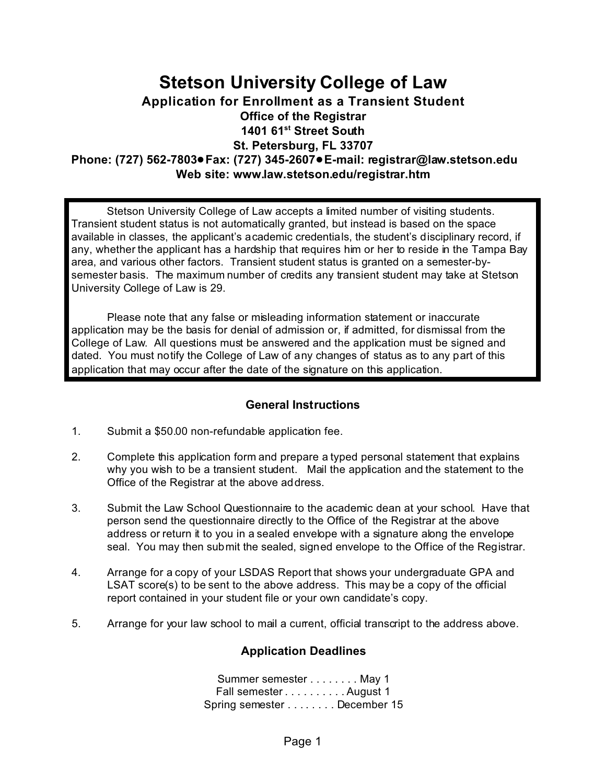## **Stetson University College of Law Application for Enrollment as a Transient Student Office of the Registrar 1401 61st Street South St. Petersburg, FL 33707 Phone: (727) 562-7803**!**Fax: (727) 345-2607**!**E-mail: registrar@law.stetson.edu Web site: www.law.stetson.edu/registrar.htm**

Stetson University College of Law accepts a limited number of visiting students. Transient student status is not automatically granted, but instead is based on the space available in classes, the applicant's academic credentials, the student's disciplinary record, if any, whether the applicant has a hardship that requires him or her to reside in the Tampa Bay area, and various other factors. Transient student status is granted on a semester-bysemester basis. The maximum number of credits any transient student may take at Stetson University College of Law is 29.

Please note that any false or misleading information statement or inaccurate application may be the basis for denial of admission or, if admitted, for dismissal from the College of Law. All questions must be answered and the application must be signed and dated. You must notify the College of Law of any changes of status as to any part of this application that may occur after the date of the signature on this application.

#### **General Instructions**

- 1. Submit a \$50.00 non-refundable application fee.
- 2. Complete this application form and prepare a typed personal statement that explains why you wish to be a transient student. Mail the application and the statement to the Office of the Registrar at the above address.
- 3. Submit the Law School Questionnaire to the academic dean at your school. Have that person send the questionnaire directly to the Office of the Registrar at the above address or return it to you in a sealed envelope with a signature along the envelope seal. You may then submit the sealed, signed envelope to the Office of the Registrar.
- 4. Arrange for a copy of your LSDAS Report that shows your undergraduate GPA and LSAT score(s) to be sent to the above address. This may be a copy of the official report contained in your student file or your own candidate's copy.
- 5. Arrange for your law school to mail a current, official transcript to the address above.

#### **Application Deadlines**

Summer semester . . . . . . . . May 1 Fall semester . . . . . . . . . . August 1 Spring semester . . . . . . . . December 15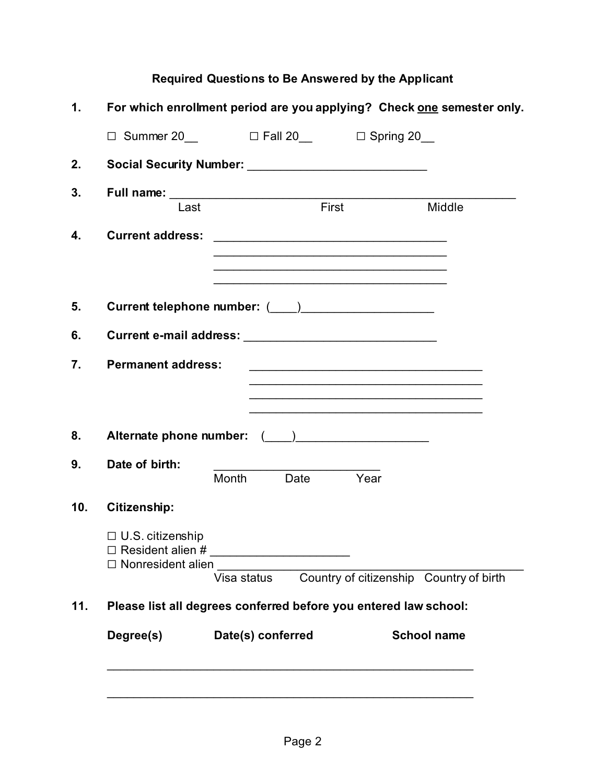# **Required Questions to Be Answered by the Applicant**

| 10.       | <b>Permanent address:</b>                           | $\Box$ Summer 20 $\Box$ Fall 20 $\Box$ Spring 20<br>Social Security Number: __________________________________<br>Full name: Last First |           | <u> 1989 - Johann John Stein, mars an deus Amerikaansk kommunister (</u> | Middle                                  |
|-----------|-----------------------------------------------------|-----------------------------------------------------------------------------------------------------------------------------------------|-----------|--------------------------------------------------------------------------|-----------------------------------------|
|           |                                                     |                                                                                                                                         |           |                                                                          |                                         |
|           |                                                     |                                                                                                                                         |           |                                                                          |                                         |
|           |                                                     |                                                                                                                                         |           |                                                                          |                                         |
|           |                                                     |                                                                                                                                         |           |                                                                          |                                         |
|           |                                                     |                                                                                                                                         |           |                                                                          |                                         |
|           |                                                     |                                                                                                                                         |           |                                                                          |                                         |
|           |                                                     |                                                                                                                                         |           |                                                                          |                                         |
|           |                                                     |                                                                                                                                         |           |                                                                          |                                         |
|           |                                                     |                                                                                                                                         |           | <u> 1980 - John Stone, Amerikaansk politiker (* 1918)</u>                |                                         |
|           |                                                     |                                                                                                                                         |           |                                                                          |                                         |
|           |                                                     |                                                                                                                                         |           |                                                                          |                                         |
|           |                                                     |                                                                                                                                         |           |                                                                          |                                         |
|           | Date of birth:                                      | Month                                                                                                                                   | Date Year |                                                                          |                                         |
|           | <b>Citizenship:</b>                                 |                                                                                                                                         |           |                                                                          |                                         |
|           | $\Box$ U.S. citizenship<br>$\Box$ Nonresident alien |                                                                                                                                         |           |                                                                          |                                         |
|           |                                                     | Visa status                                                                                                                             |           |                                                                          | Country of citizenship Country of birth |
| 11.       |                                                     |                                                                                                                                         |           |                                                                          |                                         |
| Degree(s) |                                                     | Please list all degrees conferred before you entered law school:                                                                        |           |                                                                          |                                         |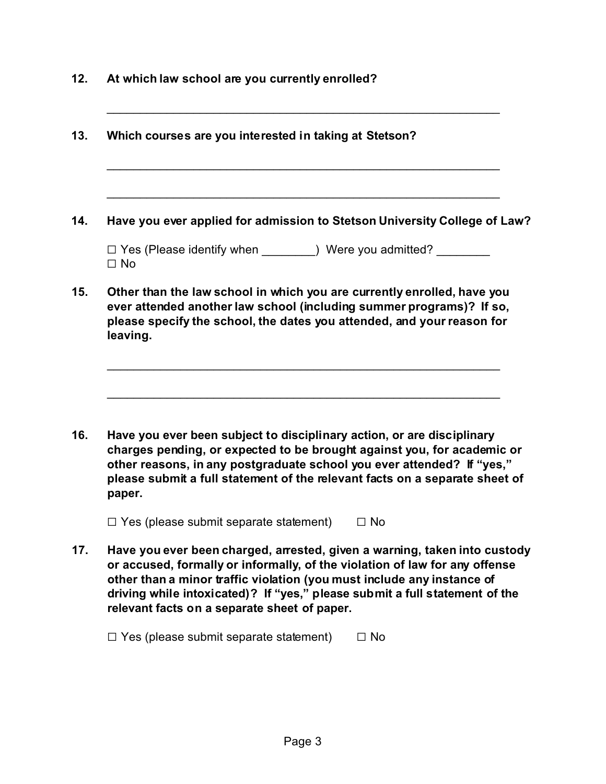|           | Have you ever applied for admission to Stetson University College of Law?                                                                                                                                                 |
|-----------|---------------------------------------------------------------------------------------------------------------------------------------------------------------------------------------------------------------------------|
| $\Box$ No |                                                                                                                                                                                                                           |
| leaving.  | Other than the law school in which you are currently enrolled, have you<br>ever attended another law school (including summer programs)? If so,<br>please specify the school, the dates you attended, and your reason for |
|           |                                                                                                                                                                                                                           |

**16. Have you ever been subject to disciplinary action, or are disciplinary charges pending, or expected to be brought against you, for academic or other reasons, in any postgraduate school you ever attended? If "yes," please submit a full statement of the relevant facts on a separate sheet of paper.**

 $\Box$  Yes (please submit separate statement)  $\Box$  No

**12. At which law school are you currently enrolled?**

**17. Have you ever been charged, arrested, given a warning, taken into custody or accused, formally or informally, of the violation of law for any offense other than a minor traffic violation (you must include any instance of driving while intoxicated)? If "yes," please submit a full statement of the relevant facts on a separate sheet of paper.**

 $\Box$  Yes (please submit separate statement)  $\Box$  No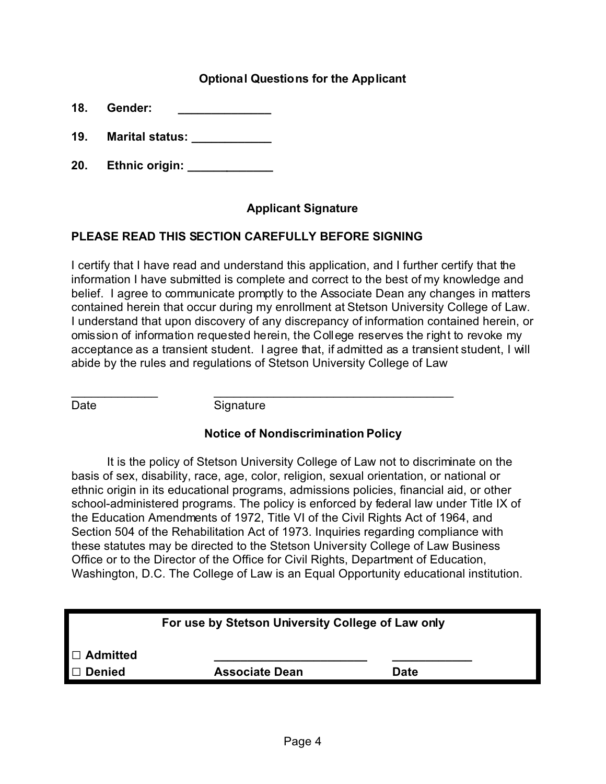## **Optional Questions for the Applicant**

**18. Gender: \_\_\_\_\_\_\_\_\_\_\_\_\_\_**

- **19. Marital status: \_\_\_\_\_\_\_\_\_\_\_\_**
- **20. Ethnic origin: \_\_\_\_\_\_\_\_\_\_\_\_\_**

## **Applicant Signature**

## **PLEASE READ THIS SECTION CAREFULLY BEFORE SIGNING**

I certify that I have read and understand this application, and I further certify that the information I have submitted is complete and correct to the best of my knowledge and belief. I agree to communicate promptly to the Associate Dean any changes in matters contained herein that occur during my enrollment at Stetson University College of Law. I understand that upon discovery of any discrepancy of information contained herein, or omission of information requested herein, the College reserves the right to revoke my acceptance as a transient student. I agree that, if admitted as a transient student, I will abide by the rules and regulations of Stetson University College of Law

\_\_\_\_\_\_\_\_\_\_\_\_\_ \_\_\_\_\_\_\_\_\_\_\_\_\_\_\_\_\_\_\_\_\_\_\_\_\_\_\_\_\_\_\_\_\_\_\_\_

Date Signature

## **Notice of Nondiscrimination Policy**

It is the policy of Stetson University College of Law not to discriminate on the basis of sex, disability, race, age, color, religion, sexual orientation, or national or ethnic origin in its educational programs, admissions policies, financial aid, or other school-administered programs. The policy is enforced by federal law under Title IX of the Education Amendments of 1972, Title VI of the Civil Rights Act of 1964, and Section 504 of the Rehabilitation Act of 1973. Inquiries regarding compliance with these statutes may be directed to the Stetson University College of Law Business Office or to the Director of the Office for Civil Rights, Department of Education, Washington, D.C. The College of Law is an Equal Opportunity educational institution.

| For use by Stetson University College of Law only |                       |             |  |  |  |  |
|---------------------------------------------------|-----------------------|-------------|--|--|--|--|
| $\Box$ Admitted                                   |                       |             |  |  |  |  |
| <b>Denied</b>                                     | <b>Associate Dean</b> | <b>Date</b> |  |  |  |  |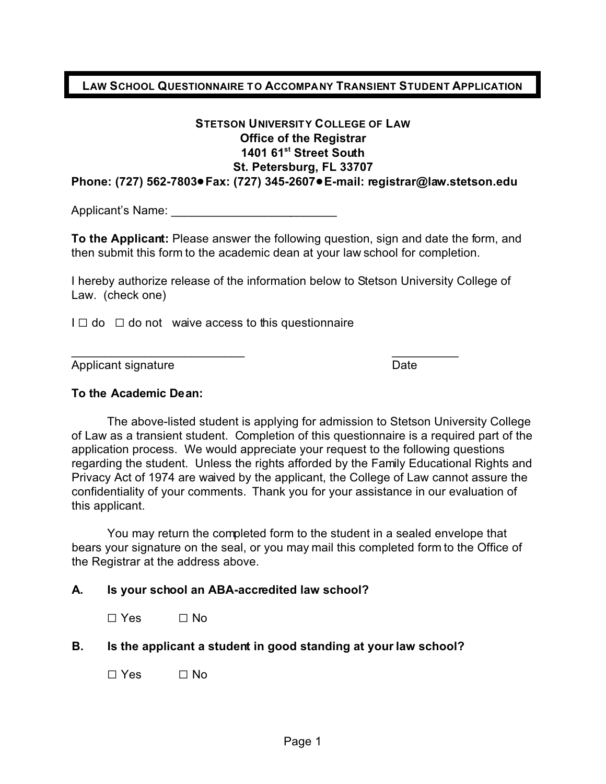#### **LAW SCHOOL QUESTIONNAIRE TO ACCOMPANY TRANSIENT STUDENT APPLICATION**

#### **STETSON UNIVERSITY COLLEGE OF LAW Office of the Registrar 1401 61st Street South St. Petersburg, FL 33707 Phone: (727) 562-7803**!**Fax: (727) 345-2607**!**E-mail: registrar@law.stetson.edu**

Applicant's Name: \_\_\_\_\_\_\_\_\_\_\_\_\_\_\_\_\_\_\_\_\_\_\_\_\_

**To the Applicant:** Please answer the following question, sign and date the form, and then submit this form to the academic dean at your law school for completion.

I hereby authorize release of the information below to Stetson University College of Law. (check one)

 $\overline{\phantom{a}}$  , and the contract of the contract of the contract of the contract of the contract of the contract of the contract of the contract of the contract of the contract of the contract of the contract of the contrac

 $I \square$  do  $\square$  do not waive access to this questionnaire

Applicant signature Date Date

#### **To the Academic Dean:**

The above-listed student is applying for admission to Stetson University College of Law as a transient student. Completion of this questionnaire is a required part of the application process. We would appreciate your request to the following questions regarding the student. Unless the rights afforded by the Family Educational Rights and Privacy Act of 1974 are waived by the applicant, the College of Law cannot assure the confidentiality of your comments. Thank you for your assistance in our evaluation of this applicant.

You may return the completed form to the student in a sealed envelope that bears your signature on the seal, or you may mail this completed form to the Office of the Registrar at the address above.

#### **A. Is your school an ABA-accredited law school?**

 $\Box$  Yes  $\Box$  No

**B. Is the applicant a student in good standing at your law school?**

 $\Box$  Yes  $\Box$  No